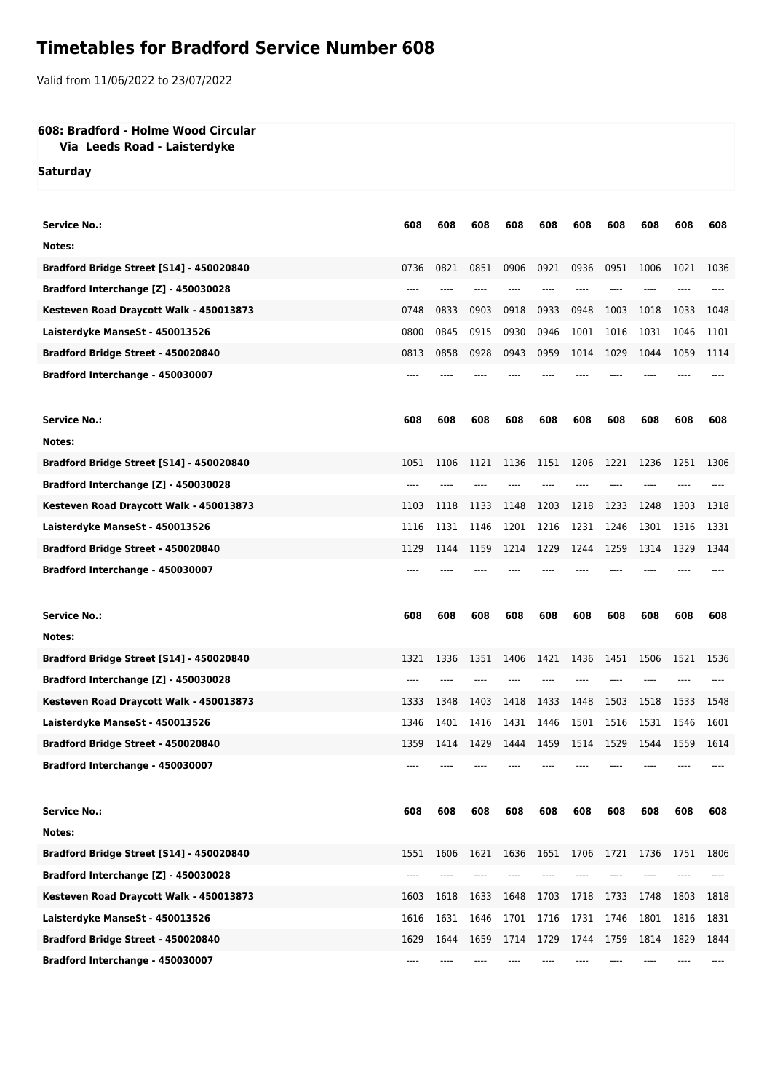## **Timetables for Bradford Service Number 608**

Valid from 11/06/2022 to 23/07/2022

## **608: Bradford - Holme Wood Circular**

## **Via Leeds Road - Laisterdyke**

**Saturday**

| <b>Service No.:</b>                      | 608  | 608  | 608  | 608  | 608  | 608  | 608  | 608  | 608  | 608  |
|------------------------------------------|------|------|------|------|------|------|------|------|------|------|
| Notes:                                   |      |      |      |      |      |      |      |      |      |      |
| Bradford Bridge Street [S14] - 450020840 | 0736 | 0821 | 0851 | 0906 | 0921 | 0936 | 0951 | 1006 | 1021 | 1036 |
| Bradford Interchange [Z] - 450030028     | ---- |      |      |      |      |      |      |      |      |      |
| Kesteven Road Draycott Walk - 450013873  | 0748 | 0833 | 0903 | 0918 | 0933 | 0948 | 1003 | 1018 | 1033 | 1048 |
|                                          | 0800 | 0845 | 0915 | 0930 | 0946 | 1001 | 1016 | 1031 | 1046 | 1101 |
| Laisterdyke ManseSt - 450013526          |      |      |      |      |      |      |      |      |      | 1114 |
| Bradford Bridge Street - 450020840       | 0813 | 0858 | 0928 | 0943 | 0959 | 1014 | 1029 | 1044 | 1059 |      |
| Bradford Interchange - 450030007         |      |      |      |      |      |      |      |      |      |      |
|                                          |      |      |      |      |      |      |      |      |      |      |
| <b>Service No.:</b>                      | 608  | 608  | 608  | 608  | 608  | 608  | 608  | 608  | 608  | 608  |
| Notes:                                   |      |      |      |      |      |      |      |      |      |      |
| Bradford Bridge Street [S14] - 450020840 | 1051 | 1106 | 1121 | 1136 | 1151 | 1206 | 1221 | 1236 | 1251 | 1306 |
| Bradford Interchange [Z] - 450030028     |      |      |      |      |      |      |      |      |      |      |
| Kesteven Road Draycott Walk - 450013873  | 1103 | 1118 | 1133 | 1148 | 1203 | 1218 | 1233 | 1248 | 1303 | 1318 |
| Laisterdyke ManseSt - 450013526          | 1116 | 1131 | 1146 | 1201 | 1216 | 1231 | 1246 | 1301 | 1316 | 1331 |
| Bradford Bridge Street - 450020840       | 1129 | 1144 | 1159 | 1214 | 1229 | 1244 | 1259 | 1314 | 1329 | 1344 |
| Bradford Interchange - 450030007         |      |      |      |      |      |      |      |      |      |      |
|                                          |      |      |      |      |      |      |      |      |      |      |
|                                          |      |      |      |      |      |      |      |      |      |      |
| <b>Service No.:</b>                      | 608  | 608  | 608  | 608  | 608  | 608  | 608  | 608  | 608  | 608  |
| Notes:                                   |      |      |      |      |      |      |      |      |      |      |
| Bradford Bridge Street [S14] - 450020840 | 1321 | 1336 | 1351 | 1406 | 1421 | 1436 | 1451 | 1506 | 1521 | 1536 |
| Bradford Interchange [Z] - 450030028     | ---- |      |      |      |      |      |      |      |      |      |
| Kesteven Road Draycott Walk - 450013873  | 1333 | 1348 | 1403 | 1418 | 1433 | 1448 | 1503 | 1518 | 1533 | 1548 |
| Laisterdyke ManseSt - 450013526          | 1346 | 1401 | 1416 | 1431 | 1446 | 1501 | 1516 | 1531 | 1546 | 1601 |
| Bradford Bridge Street - 450020840       | 1359 | 1414 | 1429 | 1444 | 1459 | 1514 | 1529 | 1544 | 1559 | 1614 |
| Bradford Interchange - 450030007         |      |      |      |      |      |      |      |      |      |      |
|                                          |      |      |      |      |      |      |      |      |      |      |
| <b>Service No.:</b>                      | 608  | 608  | 608  | 608  | 608  | 608  | 608  | 608  | 608  | 608  |
| Notes:                                   |      |      |      |      |      |      |      |      |      |      |
| Bradford Bridge Street [S14] - 450020840 | 1551 | 1606 | 1621 | 1636 | 1651 | 1706 | 1721 | 1736 | 1751 | 1806 |
| Bradford Interchange [Z] - 450030028     | ---- |      |      |      |      |      |      |      |      |      |
| Kesteven Road Draycott Walk - 450013873  | 1603 | 1618 | 1633 | 1648 | 1703 | 1718 | 1733 | 1748 | 1803 | 1818 |
| Laisterdyke ManseSt - 450013526          | 1616 | 1631 | 1646 | 1701 | 1716 | 1731 | 1746 | 1801 | 1816 | 1831 |
| Bradford Bridge Street - 450020840       | 1629 | 1644 | 1659 | 1714 | 1729 | 1744 | 1759 | 1814 | 1829 | 1844 |